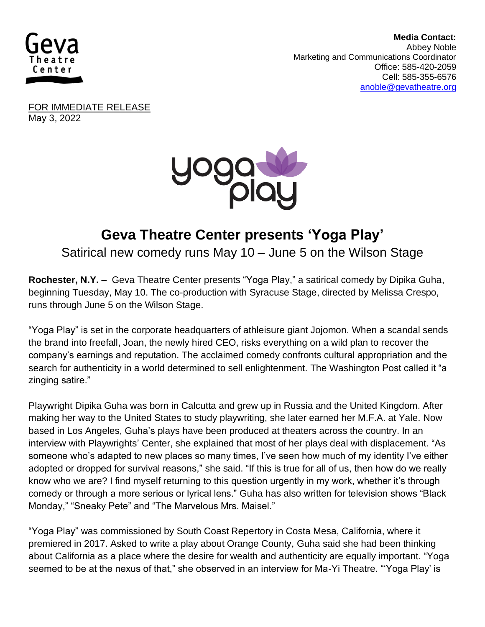

 **Media Contact:**  Abbey Noble **Marketing and Communications Coordinator** Office: 585-420-2059 Cell: 585-355-6576 [anoble@gevatheatre.org](mailto:anoble@gevatheatre.org)

FOR IMMEDIATE RELEASE May 3, 2022



## **Geva Theatre Center presents 'Yoga Play'**

Satirical new comedy runs May 10 – June 5 on the Wilson Stage

**Rochester, N.Y. –** Geva Theatre Center presents "Yoga Play," a satirical comedy by Dipika Guha, beginning Tuesday, May 10. The co-production with Syracuse Stage, directed by Melissa Crespo, runs through June 5 on the Wilson Stage.

"Yoga Play" is set in the corporate headquarters of athleisure giant Jojomon. When a scandal sends the brand into freefall, Joan, the newly hired CEO, risks everything on a wild plan to recover the company's earnings and reputation. The acclaimed comedy confronts cultural appropriation and the search for authenticity in a world determined to sell enlightenment. The Washington Post called it "a zinging satire."

Playwright Dipika Guha was born in Calcutta and grew up in Russia and the United Kingdom. After making her way to the United States to study playwriting, she later earned her M.F.A. at Yale. Now based in Los Angeles, Guha's plays have been produced at theaters across the country. In an interview with Playwrights' Center, she explained that most of her plays deal with displacement. "As someone who's adapted to new places so many times, I've seen how much of my identity I've either adopted or dropped for survival reasons," she said. "If this is true for all of us, then how do we really know who we are? I find myself returning to this question urgently in my work, whether it's through comedy or through a more serious or lyrical lens." Guha has also written for television shows "Black Monday," "Sneaky Pete" and "The Marvelous Mrs. Maisel."

"Yoga Play" was commissioned by South Coast Repertory in Costa Mesa, California, where it premiered in 2017. Asked to write a play about Orange County, Guha said she had been thinking about California as a place where the desire for wealth and authenticity are equally important. "Yoga seemed to be at the nexus of that," she observed in an interview for Ma-Yi Theatre. "'Yoga Play' is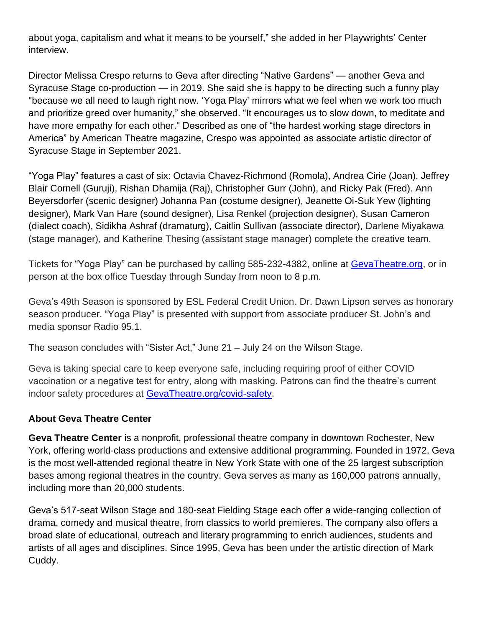about yoga, capitalism and what it means to be yourself," she added in her Playwrights' Center interview.

Director Melissa Crespo returns to Geva after directing "Native Gardens" — another Geva and Syracuse Stage co-production — in 2019. She said she is happy to be directing such a funny play "because we all need to laugh right now. 'Yoga Play' mirrors what we feel when we work too much and prioritize greed over humanity," she observed. "It encourages us to slow down, to meditate and have more empathy for each other." Described as one of "the hardest working stage directors in America" by American Theatre magazine, Crespo was appointed as associate artistic director of Syracuse Stage in September 2021.

"Yoga Play" features a cast of six: Octavia Chavez-Richmond (Romola), Andrea Cirie (Joan), Jeffrey Blair Cornell (Guruji), Rishan Dhamija (Raj), Christopher Gurr (John), and Ricky Pak (Fred). Ann Beyersdorfer (scenic designer) Johanna Pan (costume designer), Jeanette Oi-Suk Yew (lighting designer), Mark Van Hare (sound designer), Lisa Renkel (projection designer), Susan Cameron (dialect coach), Sidikha Ashraf (dramaturg), Caitlin Sullivan (associate director), Darlene Miyakawa (stage manager), and Katherine Thesing (assistant stage manager) complete the creative team.

Tickets for "Yoga Play" can be purchased by calling 585-232-4382, online at [GevaTheatre.org,](https://gevatheatre.org/) or in person at the box office Tuesday through Sunday from noon to 8 p.m.

Geva's 49th Season is sponsored by ESL Federal Credit Union. Dr. Dawn Lipson serves as honorary season producer. "Yoga Play" is presented with support from associate producer St. John's and media sponsor Radio 95.1.

The season concludes with "Sister Act," June 21 – July 24 on the Wilson Stage.

Geva is taking special care to keep everyone safe, including requiring proof of either COVID vaccination or a negative test for entry, along with masking. Patrons can find the theatre's current indoor safety procedures at [GevaTheatre.org/covid-safety.](https://gevatheatre.org/covid-safety/)

## **About Geva Theatre Center**

**Geva Theatre Center** is a nonprofit, professional theatre company in downtown Rochester, New York, offering world-class productions and extensive additional programming. Founded in 1972, Geva is the most well-attended regional theatre in New York State with one of the 25 largest subscription bases among regional theatres in the country. Geva serves as many as 160,000 patrons annually, including more than 20,000 students.

Geva's 517-seat Wilson Stage and 180-seat Fielding Stage each offer a wide-ranging collection of drama, comedy and musical theatre, from classics to world premieres. The company also offers a broad slate of educational, outreach and literary programming to enrich audiences, students and artists of all ages and disciplines. Since 1995, Geva has been under the artistic direction of Mark Cuddy.